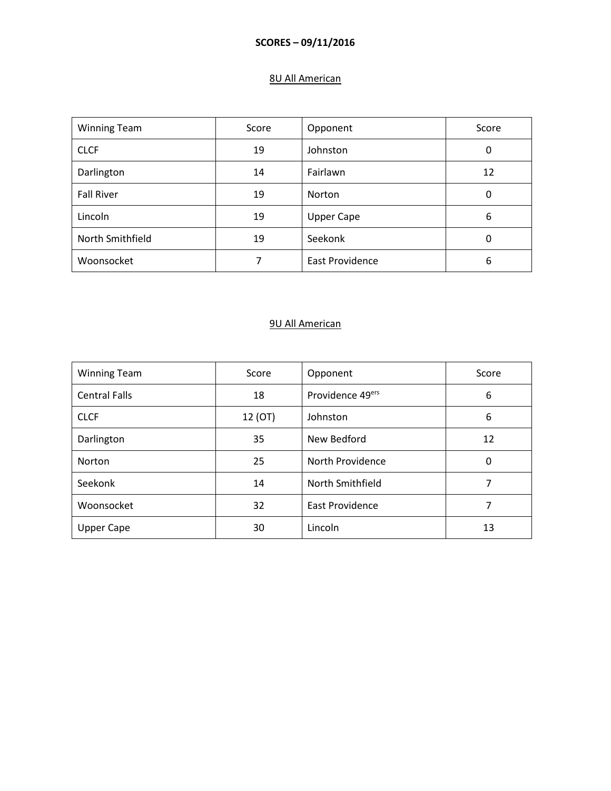### **SCORES – 09/11/2016**

## 8U All American

| <b>Winning Team</b> | Score | Opponent               | Score |
|---------------------|-------|------------------------|-------|
| <b>CLCF</b>         | 19    | Johnston               | 0     |
| Darlington          | 14    | Fairlawn               | 12    |
| <b>Fall River</b>   | 19    | Norton                 | 0     |
| Lincoln             | 19    | <b>Upper Cape</b>      | 6     |
| North Smithfield    | 19    | Seekonk                | 0     |
| Woonsocket          |       | <b>East Providence</b> | 6     |

# 9U All American

| <b>Winning Team</b>  | Score   | Opponent               | Score |
|----------------------|---------|------------------------|-------|
| <b>Central Falls</b> | 18      | Providence 49ers       | 6     |
| <b>CLCF</b>          | 12 (OT) | Johnston               | 6     |
| Darlington           | 35      | New Bedford            | 12    |
| <b>Norton</b>        | 25      | North Providence       | 0     |
| Seekonk              | 14      | North Smithfield       | 7     |
| Woonsocket           | 32      | <b>East Providence</b> | 7     |
| <b>Upper Cape</b>    | 30      | Lincoln                | 13    |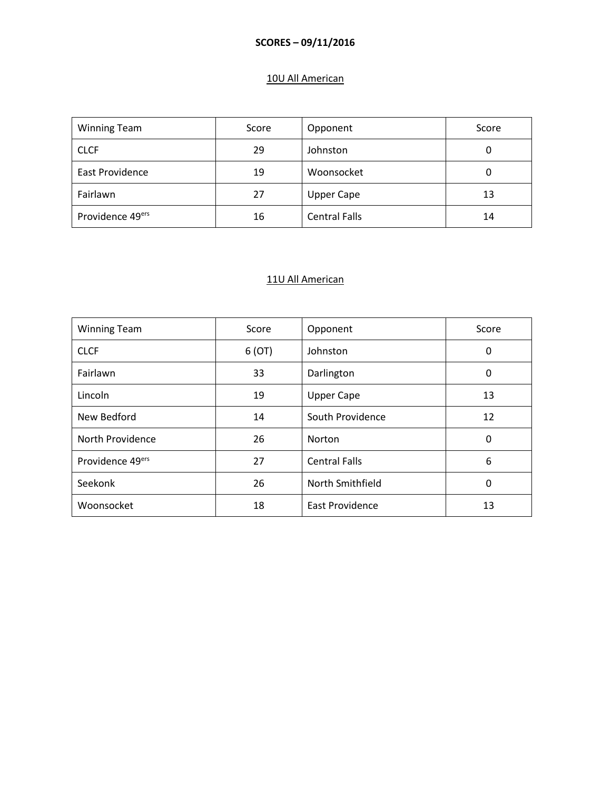### **SCORES – 09/11/2016**

# 10U All American

| <b>Winning Team</b>          | Score | Opponent             | Score |
|------------------------------|-------|----------------------|-------|
| <b>CLCF</b>                  | 29    | Johnston             | 0     |
| <b>East Providence</b>       | 19    | Woonsocket           | 0     |
| Fairlawn                     | 27    | <b>Upper Cape</b>    | 13    |
| Providence 49 <sup>ers</sup> | 16    | <b>Central Falls</b> | 14    |

#### 11U All American

| <b>Winning Team</b> | Score | Opponent               | Score |
|---------------------|-------|------------------------|-------|
| <b>CLCF</b>         | 6(OT) | Johnston               | 0     |
| Fairlawn            | 33    | Darlington             | 0     |
| Lincoln             | 19    | <b>Upper Cape</b>      | 13    |
| New Bedford         | 14    | South Providence       | 12    |
| North Providence    | 26    | <b>Norton</b>          | 0     |
| Providence 49ers    | 27    | <b>Central Falls</b>   | 6     |
| Seekonk             | 26    | North Smithfield       | 0     |
| Woonsocket          | 18    | <b>East Providence</b> | 13    |